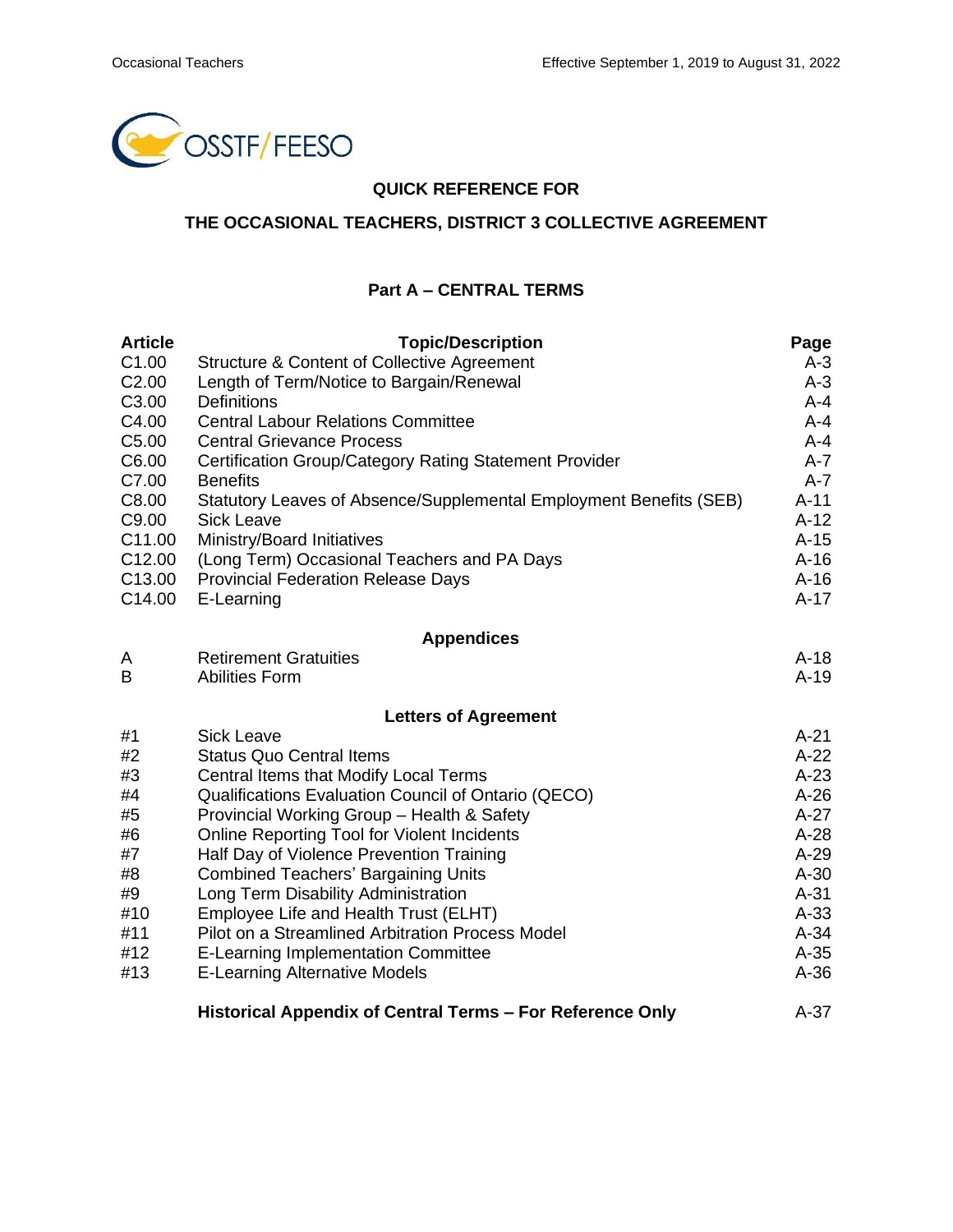

### **QUICK REFERENCE FOR**

# **THE OCCASIONAL TEACHERS, DISTRICT 3 COLLECTIVE AGREEMENT**

#### **Part A – CENTRAL TERMS**

| <b>Article</b>                           | <b>Topic/Description</b>                                           | Page             |  |  |  |
|------------------------------------------|--------------------------------------------------------------------|------------------|--|--|--|
| C <sub>1.00</sub>                        | Structure & Content of Collective Agreement                        | $A-3$            |  |  |  |
| C <sub>2.00</sub>                        | Length of Term/Notice to Bargain/Renewal                           | $A-3$            |  |  |  |
| C <sub>3.00</sub>                        | <b>Definitions</b>                                                 | $A - 4$          |  |  |  |
| C4.00                                    | <b>Central Labour Relations Committee</b>                          | $A - 4$          |  |  |  |
| C <sub>5.00</sub>                        | <b>Central Grievance Process</b>                                   | $A - 4$          |  |  |  |
| C6.00                                    | Certification Group/Category Rating Statement Provider             | $A - 7$          |  |  |  |
| C7.00                                    | <b>Benefits</b>                                                    | $A-7$            |  |  |  |
| C8.00                                    | Statutory Leaves of Absence/Supplemental Employment Benefits (SEB) | $A-11$           |  |  |  |
| C9.00                                    | <b>Sick Leave</b>                                                  | $A-12$           |  |  |  |
| C11.00                                   | Ministry/Board Initiatives                                         | $A-15$           |  |  |  |
| C <sub>12.00</sub><br>C <sub>13.00</sub> | (Long Term) Occasional Teachers and PA Days                        | $A-16$<br>$A-16$ |  |  |  |
| C14.00                                   | <b>Provincial Federation Release Days</b><br>E-Learning            | $A-17$           |  |  |  |
|                                          |                                                                    |                  |  |  |  |
|                                          | <b>Appendices</b>                                                  |                  |  |  |  |
| A                                        | <b>Retirement Gratuities</b>                                       | $A-18$           |  |  |  |
| B                                        | <b>Abilities Form</b>                                              | $A-19$           |  |  |  |
|                                          | <b>Letters of Agreement</b>                                        |                  |  |  |  |
| #1                                       | <b>Sick Leave</b>                                                  | $A-21$           |  |  |  |
| #2                                       | <b>Status Quo Central Items</b>                                    | $A-22$           |  |  |  |
| #3                                       | Central Items that Modify Local Terms                              | $A-23$           |  |  |  |
| #4                                       | Qualifications Evaluation Council of Ontario (QECO)                | $A-26$           |  |  |  |
| #5                                       | Provincial Working Group - Health & Safety                         | $A-27$           |  |  |  |
| #6                                       | <b>Online Reporting Tool for Violent Incidents</b>                 | $A-28$           |  |  |  |
| #7                                       | Half Day of Violence Prevention Training                           | $A-29$           |  |  |  |
| #8                                       | <b>Combined Teachers' Bargaining Units</b>                         | $A-30$           |  |  |  |
| #9                                       | Long Term Disability Administration                                | $A-31$           |  |  |  |
| #10                                      | Employee Life and Health Trust (ELHT)                              | $A-33$           |  |  |  |
| #11                                      | Pilot on a Streamlined Arbitration Process Model                   | $A-34$           |  |  |  |
| #12                                      | <b>E-Learning Implementation Committee</b>                         | $A-35$           |  |  |  |
| #13                                      | <b>E-Learning Alternative Models</b>                               | $A-36$           |  |  |  |
|                                          | Historical Appendix of Central Terms - For Reference Only          | $A-37$           |  |  |  |